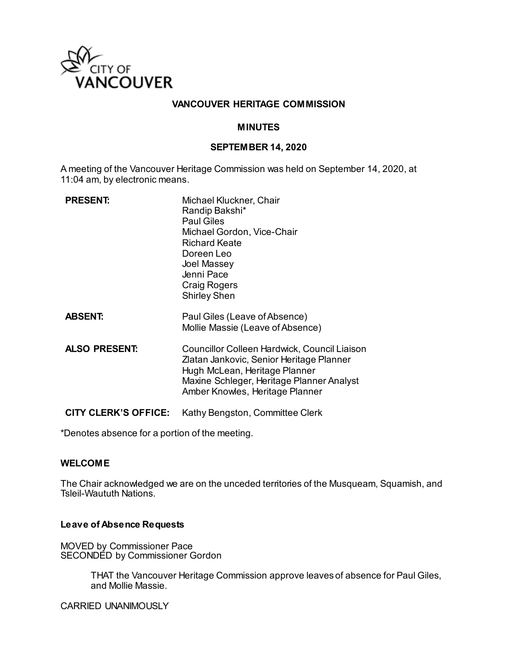

### **VANCOUVER HERITAGE COMMISSION**

#### **MINUTES**

#### **SEPTEMBER 14, 2020**

A meeting of the Vancouver Heritage Commission was held on September 14, 2020, at 11:04 am, by electronic means.

| <b>PRESENT:</b>             | Michael Kluckner, Chair<br>Randip Bakshi*<br><b>Paul Giles</b><br>Michael Gordon, Vice-Chair<br><b>Richard Keate</b><br>Doreen Leo<br>Joel Massey<br>Jenni Pace<br><b>Craig Rogers</b><br><b>Shirley Shen</b> |
|-----------------------------|---------------------------------------------------------------------------------------------------------------------------------------------------------------------------------------------------------------|
| <b>ABSENT:</b>              | Paul Giles (Leave of Absence)<br>Mollie Massie (Leave of Absence)                                                                                                                                             |
| <b>ALSO PRESENT:</b>        | Councillor Colleen Hardwick, Council Liaison<br>Zlatan Jankovic, Senior Heritage Planner<br>Hugh McLean, Heritage Planner<br>Maxine Schleger, Heritage Planner Analyst<br>Amber Knowles, Heritage Planner     |
| <b>CITY CLERK'S OFFICE:</b> | Kathy Bengston, Committee Clerk                                                                                                                                                                               |

\*Denotes absence for a portion of the meeting.

#### **WELCOME**

The Chair acknowledged we are on the unceded territories of the Musqueam, Squamish, and Tsleil-Waututh Nations.

#### **Leave of Absence Requests**

MOVED by Commissioner Pace SECONDED by Commissioner Gordon

> THAT the Vancouver Heritage Commission approve leaves of absence for Paul Giles, and Mollie Massie.

CARRIED UNANIMOUSLY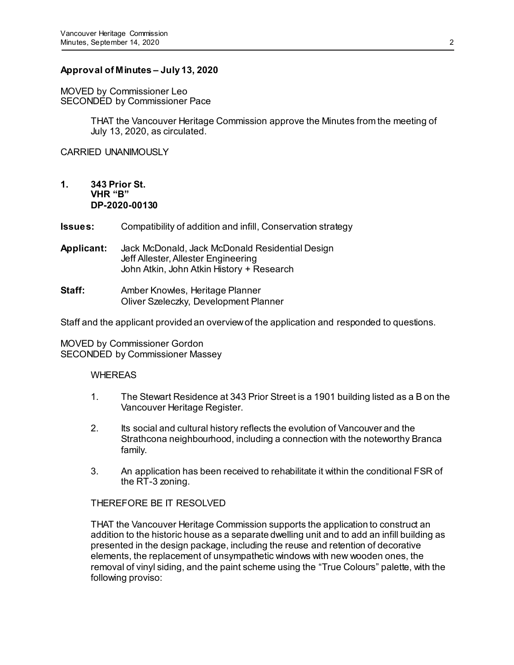## **Approval of Minutes – July 13, 2020**

MOVED by Commissioner Leo SECONDED by Commissioner Pace

> THAT the Vancouver Heritage Commission approve the Minutes from the meeting of July 13, 2020, as circulated.

CARRIED UNANIMOUSLY

**1. 343 Prior St. VHR "B" DP-2020-00130**

**Issues:** Compatibility of addition and infill, Conservation strategy

- **Applicant:** Jack McDonald, Jack McDonald Residential Design Jeff Allester, Allester Engineering John Atkin, John Atkin History + Research
- **Staff:** Amber Knowles, Heritage Planner Oliver Szeleczky, Development Planner

Staff and the applicant provided an overview of the application and responded to questions.

MOVED by Commissioner Gordon SECONDED by Commissioner Massey

#### WHEREAS

- 1. The Stewart Residence at 343 Prior Street is a 1901 building listed as a B on the Vancouver Heritage Register.
- 2. Its social and cultural history reflects the evolution of Vancouver and the Strathcona neighbourhood, including a connection with the noteworthy Branca family.
- 3. An application has been received to rehabilitate it within the conditional FSR of the RT-3 zoning.

#### THEREFORE BE IT RESOLVED

THAT the Vancouver Heritage Commission supports the application to construct an addition to the historic house as a separate dwelling unit and to add an infill building as presented in the design package, including the reuse and retention of decorative elements, the replacement of unsympathetic windows with new wooden ones, the removal of vinyl siding, and the paint scheme using the "True Colours" palette, with the following proviso: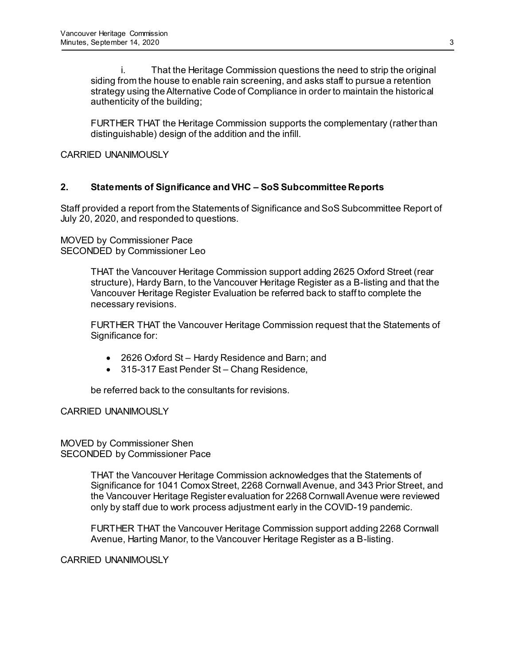i. That the Heritage Commission questions the need to strip the original siding from the house to enable rain screening, and asks staff to pursue a retention strategy using the Alternative Code of Compliance in order to maintain the historical authenticity of the building;

FURTHER THAT the Heritage Commission supports the complementary (rather than distinguishable) design of the addition and the infill.

### CARRIED UNANIMOUSLY

## **2. Statements of Significance and VHC – SoS Subcommittee Reports**

Staff provided a report from the Statements of Significance and SoS Subcommittee Report of July 20, 2020, and responded to questions.

MOVED by Commissioner Pace SECONDED by Commissioner Leo

> THAT the Vancouver Heritage Commission support adding 2625 Oxford Street (rear structure), Hardy Barn, to the Vancouver Heritage Register as a B-listing and that the Vancouver Heritage Register Evaluation be referred back to staff to complete the necessary revisions.

> FURTHER THAT the Vancouver Heritage Commission request that the Statements of Significance for:

- 2626 Oxford St Hardy Residence and Barn; and
- 315-317 East Pender St Chang Residence,

be referred back to the consultants for revisions.

CARRIED UNANIMOUSLY

MOVED by Commissioner Shen SECONDED by Commissioner Pace

> THAT the Vancouver Heritage Commission acknowledges that the Statements of Significance for 1041 Comox Street, 2268 Cornwall Avenue, and 343 Prior Street, and the Vancouver Heritage Register evaluation for 2268 Cornwall Avenue were reviewed only by staff due to work process adjustment early in the COVID-19 pandemic.

FURTHER THAT the Vancouver Heritage Commission support adding 2268 Cornwall Avenue, Harting Manor, to the Vancouver Heritage Register as a B-listing.

CARRIED UNANIMOUSLY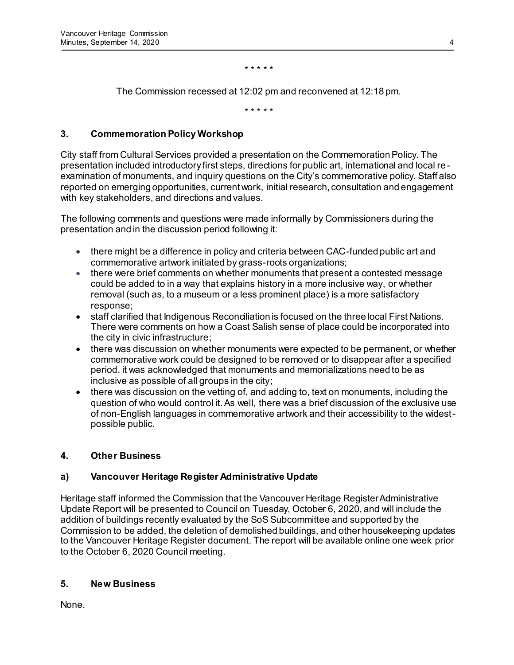\* \* \* \* \*

The Commission recessed at 12:02 pm and reconvened at 12:18 pm.

\* \* \* \* \*

## **3. Commemoration Policy Workshop**

City staff from Cultural Services provided a presentation on the Commemoration Policy. The presentation included introductory first steps, directions for public art, international and local re examination of monuments, and inquiry questions on the City's commemorative policy. Staff also reported on emerging opportunities, current work, initial research, consultation and engagement with key stakeholders, and directions and values.

The following comments and questions were made informally by Commissioners during the presentation and in the discussion period following it:

- there might be a difference in policy and criteria between CAC-funded public art and commemorative artwork initiated by grass-roots organizations;
- there were brief comments on whether monuments that present a contested message could be added to in a way that explains history in a more inclusive way, or whether removal (such as, to a museum or a less prominent place) is a more satisfactory response;
- staff clarified that Indigenous Reconciliation is focused on the three local First Nations. There were comments on how a Coast Salish sense of place could be incorporated into the city in civic infrastructure;
- there was discussion on whether monuments were expected to be permanent, or whether commemorative work could be designed to be removed or to disappear after a specified period. it was acknowledged that monuments and memorializations need to be as inclusive as possible of all groups in the city;
- there was discussion on the vetting of, and adding to, text on monuments, including the question of who would control it. As well, there was a brief discussion of the exclusive use of non-English languages in commemorative artwork and their accessibility to the widestpossible public.

## **4. Other Business**

## **a) Vancouver Heritage Register Administrative Update**

Heritage staff informed the Commission that the Vancouver Heritage Register Administrative Update Report will be presented to Council on Tuesday, October 6, 2020, and will include the addition of buildings recently evaluated by the SoS Subcommittee and supported by the Commission to be added, the deletion of demolished buildings, and other housekeeping updates to the Vancouver Heritage Register document. The report will be available online one week prior to the October 6, 2020 Council meeting.

## **5. New Business**

None.